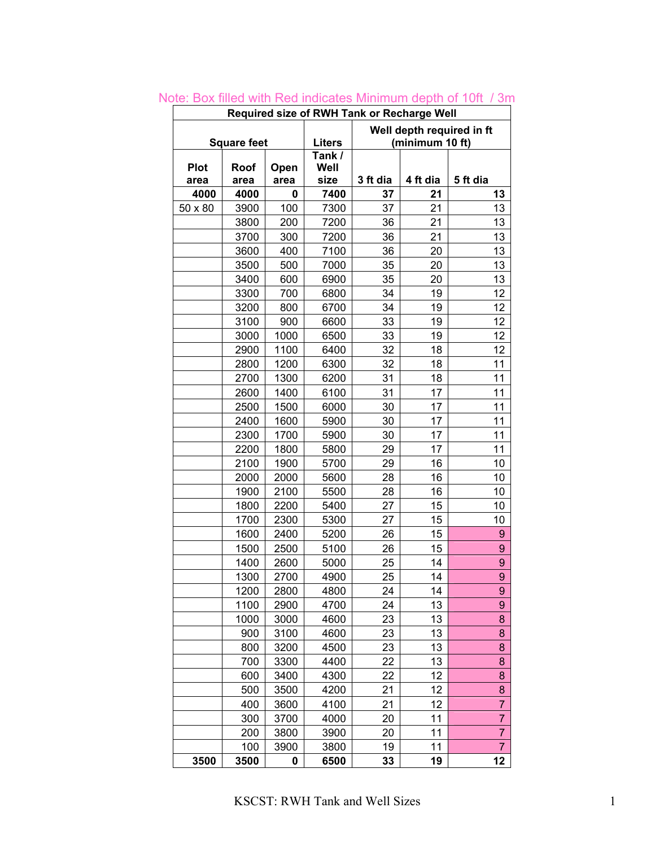| Required size of RWH Tank or Recharge Well                                          |              |              |                |          |          |                |  |  |  |  |  |  |
|-------------------------------------------------------------------------------------|--------------|--------------|----------------|----------|----------|----------------|--|--|--|--|--|--|
| Well depth required in ft<br><b>Liters</b><br><b>Square feet</b><br>(minimum 10 ft) |              |              |                |          |          |                |  |  |  |  |  |  |
|                                                                                     |              |              |                |          |          |                |  |  |  |  |  |  |
| <b>Plot</b>                                                                         | Roof         | Open         | Tank /<br>Well |          |          |                |  |  |  |  |  |  |
| area                                                                                | area         | area         | size           | 3 ft dia | 4 ft dia | 5 ft dia       |  |  |  |  |  |  |
| 4000                                                                                | 4000         | 0            | 7400           | 37       | 21       | 13             |  |  |  |  |  |  |
| 50 x 80                                                                             | 3900         | 100          | 7300           | 37       | 21       | 13             |  |  |  |  |  |  |
|                                                                                     | 3800         | 200          | 7200           | 36       | 21       | 13             |  |  |  |  |  |  |
|                                                                                     | 3700         | 300          | 7200           | 36       | 21       | 13             |  |  |  |  |  |  |
|                                                                                     | 3600         | 400          | 7100           | 36       | 20       | 13             |  |  |  |  |  |  |
|                                                                                     | 3500         | 500          | 7000           | 35       | 20       | 13             |  |  |  |  |  |  |
|                                                                                     | 3400         | 600          | 6900           | 35       | 20       | 13             |  |  |  |  |  |  |
|                                                                                     | 3300         | 700          | 6800           | 34       | 19       | 12             |  |  |  |  |  |  |
|                                                                                     | 3200         | 800          | 6700           | 34       | 19       | 12             |  |  |  |  |  |  |
|                                                                                     | 3100         | 900          | 6600           | 33       | 19       | 12             |  |  |  |  |  |  |
|                                                                                     | 3000         | 1000         | 6500           | 33       | 19       | 12             |  |  |  |  |  |  |
|                                                                                     | 2900         | 1100         | 6400           | 32       | 18       | 12             |  |  |  |  |  |  |
|                                                                                     | 2800         | 1200         | 6300           | 32       | 18       | 11             |  |  |  |  |  |  |
|                                                                                     | 2700         | 1300         | 6200           | 31       | 18       | 11             |  |  |  |  |  |  |
|                                                                                     | 2600         | 1400         | 6100           | 31       | 17       | 11             |  |  |  |  |  |  |
|                                                                                     | 2500         | 1500         | 6000           | 30       | 17       | 11             |  |  |  |  |  |  |
|                                                                                     | 2400         | 1600         | 5900           | 30       | 17       | 11             |  |  |  |  |  |  |
|                                                                                     | 2300         | 1700         | 5900           | 30       | 17       | 11             |  |  |  |  |  |  |
|                                                                                     | 2200         | 1800         | 5800           | 29       | 17       | 11             |  |  |  |  |  |  |
|                                                                                     | 2100         | 1900         | 5700           | 29       | 16       | 10             |  |  |  |  |  |  |
|                                                                                     | 2000         | 2000         | 5600           | 28<br>28 | 16<br>16 | 10             |  |  |  |  |  |  |
|                                                                                     | 1900         | 2100         | 5500           |          |          | 10             |  |  |  |  |  |  |
|                                                                                     | 1800         | 2200         | 5400           | 27       | 15       | 10             |  |  |  |  |  |  |
|                                                                                     | 1700         | 2300         | 5300           | 27       | 15       | 10             |  |  |  |  |  |  |
|                                                                                     | 1600         | 2400         | 5200           | 26       | 15<br>15 | 9              |  |  |  |  |  |  |
|                                                                                     | 1500<br>1400 | 2500<br>2600 | 5100           | 26<br>25 | 14       | 9<br>9         |  |  |  |  |  |  |
|                                                                                     | 1300         | 2700         | 5000<br>4900   | 25       | 14       | 9              |  |  |  |  |  |  |
|                                                                                     | 1200         | 2800         | 4800           | 24       | 14       | 9              |  |  |  |  |  |  |
|                                                                                     | 1100         | 2900         | 4700           | 24       | 13       | 9              |  |  |  |  |  |  |
|                                                                                     | 1000         | 3000         | 4600           | 23       | 13       | 8              |  |  |  |  |  |  |
|                                                                                     | 900          | 3100         | 4600           | 23       | 13       | 8              |  |  |  |  |  |  |
|                                                                                     | 800          | 3200         | 4500           | 23       | 13       | 8              |  |  |  |  |  |  |
|                                                                                     | 700          | 3300         | 4400           | 22       | 13       | 8              |  |  |  |  |  |  |
|                                                                                     | 600          | 3400         | 4300           | 22       | 12       | 8              |  |  |  |  |  |  |
|                                                                                     | 500          | 3500         | 4200           | 21       | 12       | 8              |  |  |  |  |  |  |
|                                                                                     | 400          | 3600         | 4100           | 21       | 12       | 7              |  |  |  |  |  |  |
|                                                                                     | 300          | 3700         | 4000           | 20       | 11       | $\overline{7}$ |  |  |  |  |  |  |
|                                                                                     | 200          | 3800         | 3900           | 20       | 11       | 7              |  |  |  |  |  |  |
|                                                                                     | 100          | 3900         | 3800           | 19       | 11       | 7              |  |  |  |  |  |  |
| 3500                                                                                | 3500         | 0            | 6500           | 33       | 19       | 12             |  |  |  |  |  |  |

Note: Box filled with Red indicates Minimum depth of 10ft / 3m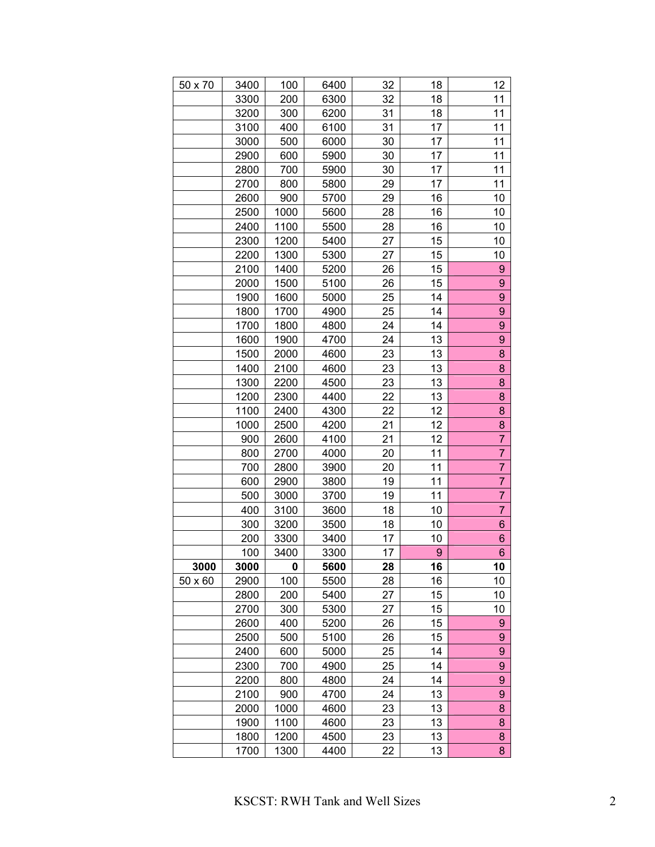| 50 x 70 | 3400 | 100  | 6400 | 32 | 18               | 12               |
|---------|------|------|------|----|------------------|------------------|
|         | 3300 | 200  | 6300 | 32 | 18               | 11               |
|         | 3200 | 300  | 6200 | 31 | 18               | 11               |
|         | 3100 | 400  | 6100 | 31 | 17               | 11               |
|         | 3000 | 500  | 6000 | 30 | 17               | 11               |
|         | 2900 | 600  | 5900 | 30 | 17               | 11               |
|         | 2800 | 700  | 5900 | 30 | 17               | 11               |
|         | 2700 | 800  | 5800 | 29 | 17               | 11               |
|         | 2600 | 900  | 5700 | 29 | 16               | 10               |
|         | 2500 | 1000 | 5600 | 28 | 16               | 10               |
|         | 2400 | 1100 | 5500 | 28 | 16               | 10               |
|         | 2300 | 1200 | 5400 | 27 | 15               | 10               |
|         | 2200 | 1300 | 5300 | 27 | 15               | 10               |
|         | 2100 | 1400 | 5200 | 26 | 15               | 9                |
|         | 2000 | 1500 | 5100 | 26 | 15               | 9                |
|         | 1900 | 1600 | 5000 | 25 | 14               | 9                |
|         | 1800 | 1700 | 4900 | 25 | 14               | 9                |
|         | 1700 | 1800 | 4800 | 24 | 14               | 9                |
|         | 1600 | 1900 | 4700 | 24 | 13               | 9                |
|         | 1500 | 2000 | 4600 | 23 | 13               | 8                |
|         | 1400 | 2100 | 4600 | 23 | 13               | 8                |
|         | 1300 | 2200 | 4500 | 23 | 13               | 8                |
|         | 1200 | 2300 | 4400 | 22 | 13               | 8                |
|         | 1100 | 2400 | 4300 | 22 | 12               | 8                |
|         | 1000 | 2500 | 4200 | 21 | 12               | 8                |
|         | 900  | 2600 | 4100 | 21 | 12               | $\overline{7}$   |
|         | 800  | 2700 | 4000 | 20 | 11               | $\overline{7}$   |
|         | 700  | 2800 | 3900 | 20 | 11               | $\overline{7}$   |
|         | 600  | 2900 | 3800 | 19 | 11               | 7                |
|         | 500  | 3000 | 3700 | 19 | 11               | $\overline{7}$   |
|         | 400  | 3100 | 3600 | 18 | 10               | 7                |
|         | 300  | 3200 | 3500 | 18 | 10               | 6                |
|         | 200  | 3300 | 3400 | 17 | 10               | 6                |
|         | 100  | 3400 | 3300 | 17 | $\boldsymbol{9}$ | $\boldsymbol{6}$ |
| 3000    | 3000 | 0    | 5600 | 28 | 16               | 10               |
| 50 x 60 | 2900 | 100  | 5500 | 28 | 16               | 10               |
|         | 2800 | 200  | 5400 | 27 | 15               | 10               |
|         | 2700 | 300  | 5300 | 27 | 15               | 10               |
|         | 2600 | 400  | 5200 | 26 | 15               | 9                |
|         | 2500 | 500  | 5100 | 26 | 15               | 9                |
|         | 2400 | 600  | 5000 | 25 | 14               | 9                |
|         | 2300 | 700  | 4900 | 25 | 14               | 9                |
|         | 2200 | 800  | 4800 | 24 | 14               | 9                |
|         | 2100 | 900  | 4700 | 24 | 13               | 9                |
|         | 2000 | 1000 | 4600 | 23 | 13               | 8                |
|         | 1900 | 1100 | 4600 | 23 | 13               | 8                |
|         | 1800 | 1200 | 4500 | 23 | 13               | 8                |
|         | 1700 | 1300 | 4400 | 22 | 13               | 8                |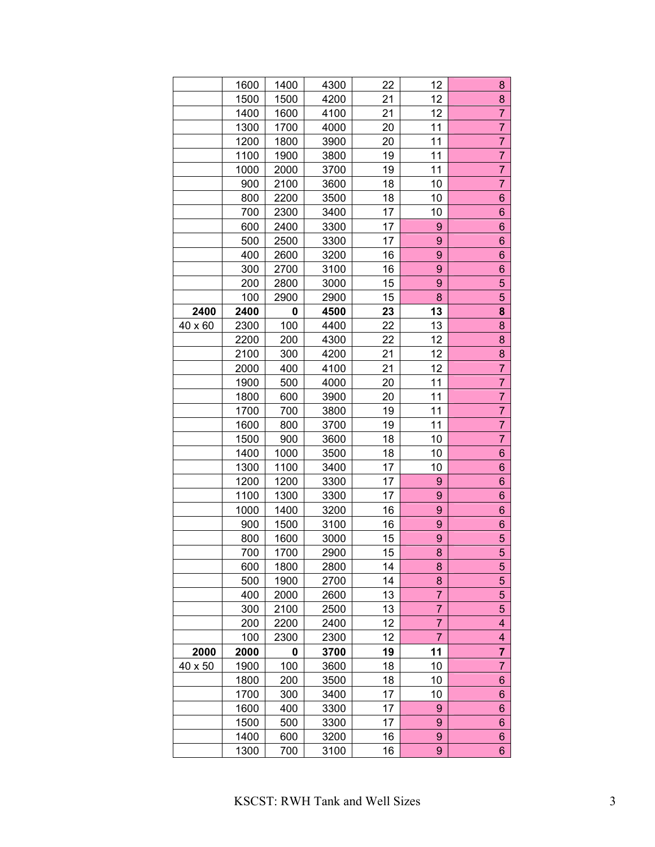|         | 1600 | 1400 | 4300 | 22 | 12             | 8                |
|---------|------|------|------|----|----------------|------------------|
|         | 1500 | 1500 | 4200 | 21 | 12             | 8                |
|         | 1400 | 1600 | 4100 | 21 | 12             | $\overline{7}$   |
|         | 1300 | 1700 | 4000 | 20 | 11             | $\overline{7}$   |
|         | 1200 | 1800 | 3900 | 20 | 11             | $\overline{7}$   |
|         | 1100 | 1900 | 3800 | 19 | 11             | $\overline{7}$   |
|         | 1000 | 2000 | 3700 | 19 | 11             | $\overline{7}$   |
|         | 900  | 2100 | 3600 | 18 | 10             | 7                |
|         | 800  | 2200 | 3500 | 18 | 10             | $6\phantom{1}$   |
|         | 700  | 2300 | 3400 | 17 | 10             | $6\phantom{.}$   |
|         | 600  | 2400 | 3300 | 17 | 9              | 6                |
|         | 500  | 2500 | 3300 | 17 | 9              | 6                |
|         | 400  | 2600 | 3200 | 16 | 9              | 6                |
|         | 300  | 2700 | 3100 | 16 | 9              | $6\phantom{.}$   |
|         | 200  | 2800 | 3000 | 15 | 9              | 5                |
|         | 100  | 2900 | 2900 | 15 | 8              | 5                |
| 2400    | 2400 | 0    | 4500 | 23 | 13             | 8                |
| 40 x 60 | 2300 | 100  | 4400 | 22 | 13             | 8                |
|         | 2200 | 200  | 4300 | 22 | 12             | 8                |
|         | 2100 | 300  | 4200 | 21 | 12             | 8                |
|         | 2000 | 400  | 4100 | 21 | 12             | $\overline{7}$   |
|         | 1900 | 500  | 4000 | 20 | 11             | $\overline{7}$   |
|         | 1800 | 600  | 3900 | 20 | 11             | $\overline{7}$   |
|         | 1700 | 700  | 3800 | 19 | 11             | $\overline{7}$   |
|         | 1600 | 800  | 3700 | 19 | 11             | 7                |
|         | 1500 | 900  | 3600 | 18 | 10             | $\overline{7}$   |
|         | 1400 | 1000 | 3500 | 18 | 10             | 6                |
|         | 1300 | 1100 | 3400 | 17 | 10             | 6                |
|         | 1200 | 1200 | 3300 | 17 | 9              | $6\phantom{.}$   |
|         | 1100 | 1300 | 3300 | 17 | 9              | 6                |
|         | 1000 | 1400 | 3200 | 16 | 9              | 6                |
|         | 900  | 1500 | 3100 | 16 | 9              | 6                |
|         | 800  | 1600 | 3000 | 15 | 9              | 5                |
|         | 700  | 1700 | 2900 | 15 | 8              | 5                |
|         | 600  | 1800 | 2800 | 14 | 8              | 5                |
|         | 500  | 1900 | 2700 | 14 | 8              | 5                |
|         | 400  | 2000 | 2600 | 13 | 7              | 5                |
|         | 300  | 2100 | 2500 | 13 | 7              | 5                |
|         | 200  | 2200 | 2400 | 12 | $\overline{7}$ | 4                |
|         | 100  | 2300 | 2300 | 12 | 7              | 4                |
| 2000    | 2000 | 0    | 3700 | 19 | 11             | $\overline{7}$   |
| 40 x 50 | 1900 | 100  | 3600 | 18 | 10             | 7                |
|         | 1800 | 200  | 3500 | 18 | 10             | 6                |
|         | 1700 | 300  | 3400 | 17 | 10             | 6                |
|         | 1600 | 400  | 3300 | 17 | 9              | $\boldsymbol{6}$ |
|         | 1500 | 500  | 3300 | 17 | 9              | 6                |
|         | 1400 | 600  | 3200 | 16 | 9              | 6                |
|         | 1300 | 700  | 3100 | 16 | 9              | 6                |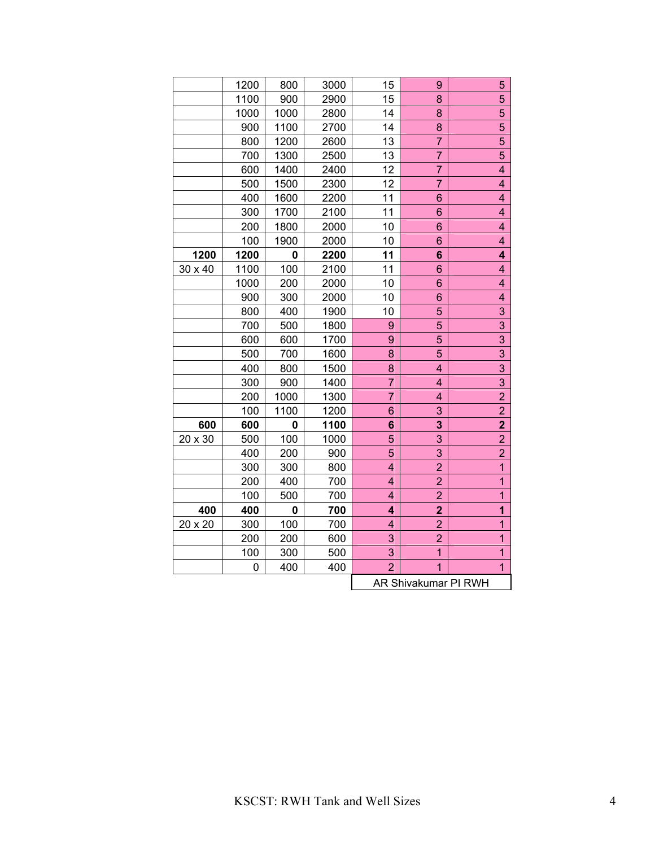|         | 1200 | 800  | 3000 | 15                      | 9                    | 5                       |
|---------|------|------|------|-------------------------|----------------------|-------------------------|
|         | 1100 | 900  | 2900 | 15                      | 8                    | 5                       |
|         | 1000 | 1000 | 2800 | 14                      | 8                    | 5                       |
|         | 900  | 1100 | 2700 | 14                      | 8                    | 5                       |
|         | 800  | 1200 | 2600 | 13                      | $\overline{7}$       | 5                       |
|         | 700  | 1300 | 2500 | 13                      | $\overline{7}$       | 5                       |
|         | 600  | 1400 | 2400 | 12                      | $\overline{7}$       | $\overline{\mathbf{4}}$ |
|         | 500  | 1500 | 2300 | 12                      | 7                    | $\overline{\mathbf{4}}$ |
|         | 400  | 1600 | 2200 | 11                      | 6                    | 4                       |
|         | 300  | 1700 | 2100 | 11                      | 6                    | 4                       |
|         | 200  | 1800 | 2000 | 10                      | 6                    | 4                       |
|         | 100  | 1900 | 2000 | 10                      | 6                    | 4                       |
| 1200    | 1200 | 0    | 2200 | 11                      | 6                    | 4                       |
| 30 x 40 | 1100 | 100  | 2100 | 11                      | 6                    | 4                       |
|         | 1000 | 200  | 2000 | 10                      | 6                    | $\overline{\mathbf{4}}$ |
|         | 900  | 300  | 2000 | 10                      | 6                    | 4                       |
|         | 800  | 400  | 1900 | 10                      | 5                    | 3                       |
|         | 700  | 500  | 1800 | 9                       | 5                    | 3                       |
|         | 600  | 600  | 1700 | 9                       | 5                    | 3                       |
|         | 500  | 700  | 1600 | 8                       | 5                    | 3                       |
|         | 400  | 800  | 1500 | 8                       | 4                    | 3                       |
|         | 300  | 900  | 1400 | $\overline{7}$          | 4                    | 3                       |
|         | 200  | 1000 | 1300 | $\overline{7}$          | 4                    | $\overline{2}$          |
|         | 100  | 1100 | 1200 | 6                       | 3                    | $\overline{2}$          |
| 600     | 600  | 0    | 1100 | 6                       | 3                    | $\overline{2}$          |
| 20 x 30 | 500  | 100  | 1000 | 5                       | 3                    | $\overline{2}$          |
|         | 400  | 200  | 900  | 5                       | 3                    | $\overline{2}$          |
|         | 300  | 300  | 800  | 4                       | $\overline{2}$       | 1                       |
|         | 200  | 400  | 700  | 4                       | $\overline{2}$       | 1                       |
|         | 100  | 500  | 700  | $\overline{\mathbf{4}}$ | $\overline{2}$       | $\overline{1}$          |
| 400     | 400  | 0    | 700  | 4                       | $\overline{2}$       | $\mathbf{1}$            |
| 20 x 20 | 300  | 100  | 700  | 4                       | $\overline{2}$       | 1                       |
|         | 200  | 200  | 600  | 3                       | $\overline{2}$       | $\overline{1}$          |
|         | 100  | 300  | 500  | 3                       | $\mathbf{1}$         | $\overline{1}$          |
|         | 0    | 400  | 400  | $\overline{2}$          | $\overline{1}$       | $\overline{1}$          |
|         |      |      |      |                         | AR Shivakumar PI RWH |                         |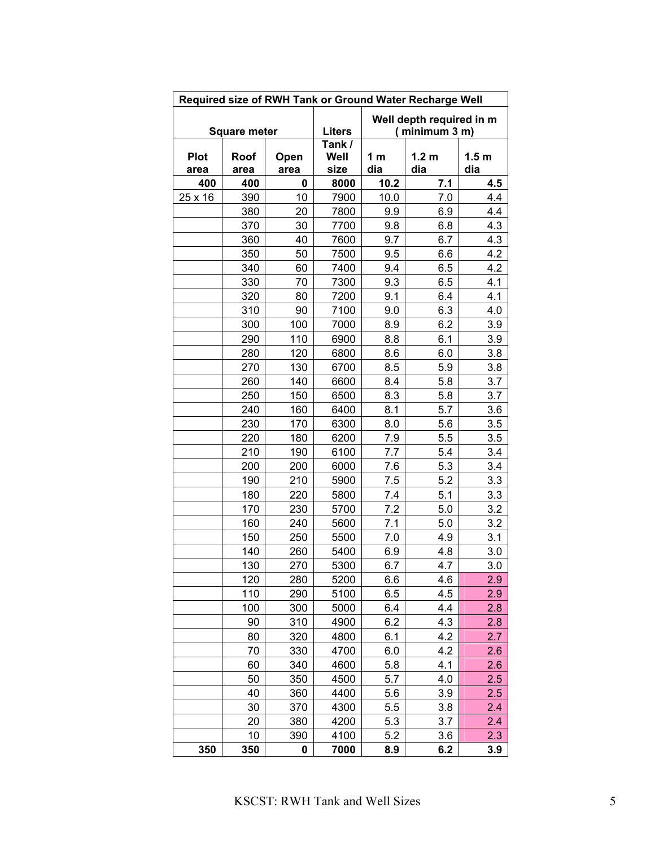|                     | Required size of RWH Tank or Ground Water Recharge Well                           |              |                        |            |                         |                         |  |  |  |  |  |  |  |
|---------------------|-----------------------------------------------------------------------------------|--------------|------------------------|------------|-------------------------|-------------------------|--|--|--|--|--|--|--|
|                     | Well depth required in m<br><b>Liters</b><br>(minimum 3 m)<br><b>Square meter</b> |              |                        |            |                         |                         |  |  |  |  |  |  |  |
| <b>Plot</b><br>area | Roof<br>area                                                                      | Open<br>area | Tank /<br>Well<br>size | 1 m<br>dia | 1.2 <sub>m</sub><br>dia | 1.5 <sub>m</sub><br>dia |  |  |  |  |  |  |  |
| 400                 | 400                                                                               | 0            | 8000                   | 10.2       | 7.1                     | 4.5                     |  |  |  |  |  |  |  |
| 25 x 16             | 390                                                                               | 10           | 7900                   | 10.0       | 7.0                     | 4.4                     |  |  |  |  |  |  |  |
|                     | 380                                                                               | 20           | 7800                   | 9.9        | 6.9                     | 4.4                     |  |  |  |  |  |  |  |
|                     | 370                                                                               | 30           | 7700                   | 9.8        | 6.8                     | 4.3                     |  |  |  |  |  |  |  |
|                     | 360                                                                               | 40           | 7600                   | 9.7        | 6.7                     | 4.3                     |  |  |  |  |  |  |  |
|                     | 350                                                                               | 50           | 7500                   | 9.5        | 6.6                     | 4.2                     |  |  |  |  |  |  |  |
|                     | 340                                                                               | 60           | 7400                   | 9.4        | 6.5                     | 4.2                     |  |  |  |  |  |  |  |
|                     | 330                                                                               | 70           | 7300                   | 9.3        | 6.5                     | 4.1                     |  |  |  |  |  |  |  |
|                     | 320                                                                               | 80           | 7200                   | 9.1        | 6.4                     | 4.1                     |  |  |  |  |  |  |  |
|                     | 310                                                                               | 90           | 7100                   | 9.0        | 6.3                     | 4.0                     |  |  |  |  |  |  |  |
|                     | 300                                                                               | 100          | 7000                   | 8.9        | 6.2                     | 3.9                     |  |  |  |  |  |  |  |
|                     | 290                                                                               | 110          | 6900                   | 8.8        | 6.1                     | 3.9                     |  |  |  |  |  |  |  |
|                     | 280                                                                               | 120          | 6800                   | 8.6        | 6.0                     | 3.8                     |  |  |  |  |  |  |  |
|                     | 270                                                                               | 130          | 6700                   | 8.5        | 5.9                     | 3.8                     |  |  |  |  |  |  |  |
|                     | 260                                                                               | 140          | 6600                   | 8.4        | 5.8                     | 3.7                     |  |  |  |  |  |  |  |
|                     | 250                                                                               | 150          | 6500                   | 8.3        | 5.8                     | 3.7                     |  |  |  |  |  |  |  |
|                     | 240                                                                               | 160          | 6400                   | 8.1        | 5.7                     | 3.6                     |  |  |  |  |  |  |  |
|                     | 230<br>220                                                                        | 170<br>180   | 6300                   | 8.0        | 5.6                     | 3.5<br>3.5              |  |  |  |  |  |  |  |
|                     | 210                                                                               | 190          | 6200<br>6100           | 7.9<br>7.7 | 5.5<br>5.4              | 3.4                     |  |  |  |  |  |  |  |
|                     | 200                                                                               | 200          | 6000                   | 7.6        | 5.3                     | 3.4                     |  |  |  |  |  |  |  |
|                     | 190                                                                               | 210          | 5900                   | 7.5        | 5.2                     | 3.3                     |  |  |  |  |  |  |  |
|                     | 180                                                                               | 220          | 5800                   | 7.4        | 5.1                     | 3.3                     |  |  |  |  |  |  |  |
|                     | 170                                                                               | 230          | 5700                   | 7.2        | 5.0                     | 3.2                     |  |  |  |  |  |  |  |
|                     | 160                                                                               | 240          | 5600                   | 7.1        | 5.0                     | 3.2                     |  |  |  |  |  |  |  |
|                     | 150                                                                               | 250          | 5500                   | 7.0        | 4.9                     | 3.1                     |  |  |  |  |  |  |  |
|                     | 140                                                                               | 260          | 5400                   | 6.9        | 4.8                     | 3.0                     |  |  |  |  |  |  |  |
|                     | 130                                                                               | 270          | 5300                   | 6.7        | 4.7                     | 3.0                     |  |  |  |  |  |  |  |
|                     | 120                                                                               | 280          | 5200                   | 6.6        | 4.6                     | 2.9                     |  |  |  |  |  |  |  |
|                     | 110                                                                               | 290          | 5100                   | 6.5        | 4.5                     | 2.9                     |  |  |  |  |  |  |  |
|                     | 100                                                                               | 300          | 5000                   | 6.4        | 4.4                     | 2.8                     |  |  |  |  |  |  |  |
|                     | 90                                                                                | 310          | 4900                   | 6.2        | 4.3                     | 2.8                     |  |  |  |  |  |  |  |
|                     | 80                                                                                | 320          | 4800                   | 6.1        | 4.2                     | 2.7                     |  |  |  |  |  |  |  |
|                     | 70                                                                                | 330          | 4700                   | 6.0        | 4.2                     | 2.6                     |  |  |  |  |  |  |  |
|                     | 60                                                                                | 340          | 4600                   | 5.8        | 4.1                     | 2.6                     |  |  |  |  |  |  |  |
|                     | 50                                                                                | 350          | 4500                   | 5.7        | 4.0                     | 2.5                     |  |  |  |  |  |  |  |
|                     | 40                                                                                | 360          | 4400                   | 5.6        | 3.9                     | 2.5                     |  |  |  |  |  |  |  |
|                     | 30                                                                                | 370          | 4300                   | 5.5        | 3.8                     | 2.4                     |  |  |  |  |  |  |  |
|                     | 20                                                                                | 380          | 4200                   | 5.3        | 3.7                     | 2.4                     |  |  |  |  |  |  |  |
|                     | 10                                                                                | 390          | 4100                   | 5.2        | 3.6                     | 2.3                     |  |  |  |  |  |  |  |
| 350                 | 350                                                                               | 0            | 7000                   | 8.9        | 6.2                     | 3.9                     |  |  |  |  |  |  |  |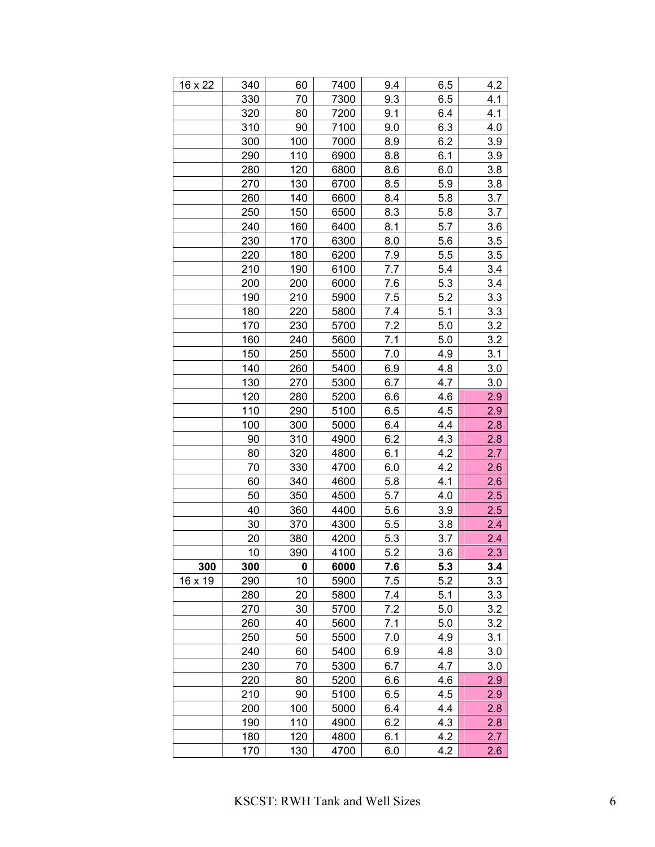| 16 x 22 | 340 | 60  | 7400 | 9.4 | 6.5 | 4.2 |
|---------|-----|-----|------|-----|-----|-----|
|         | 330 | 70  | 7300 | 9.3 | 6.5 | 4.1 |
|         | 320 | 80  | 7200 | 9.1 | 6.4 | 4.1 |
|         | 310 | 90  | 7100 | 9.0 | 6.3 | 4.0 |
|         | 300 | 100 | 7000 | 8.9 | 6.2 | 3.9 |
|         | 290 | 110 | 6900 | 8.8 | 6.1 | 3.9 |
|         | 280 | 120 | 6800 | 8.6 | 6.0 | 3.8 |
|         | 270 | 130 | 6700 | 8.5 | 5.9 | 3.8 |
|         | 260 | 140 | 6600 | 8.4 | 5.8 | 3.7 |
|         | 250 | 150 | 6500 | 8.3 | 5.8 | 3.7 |
|         | 240 | 160 | 6400 | 8.1 | 5.7 | 3.6 |
|         | 230 | 170 | 6300 | 8.0 | 5.6 | 3.5 |
|         | 220 | 180 | 6200 | 7.9 | 5.5 | 3.5 |
|         | 210 | 190 | 6100 | 7.7 | 5.4 | 3.4 |
|         | 200 | 200 | 6000 | 7.6 | 5.3 | 3.4 |
|         | 190 | 210 | 5900 | 7.5 | 5.2 | 3.3 |
|         | 180 | 220 | 5800 | 7.4 | 5.1 | 3.3 |
|         | 170 | 230 | 5700 | 7.2 | 5.0 | 3.2 |
|         | 160 | 240 | 5600 | 7.1 | 5.0 | 3.2 |
|         | 150 | 250 | 5500 | 7.0 | 4.9 | 3.1 |
|         | 140 | 260 | 5400 | 6.9 | 4.8 | 3.0 |
|         | 130 | 270 | 5300 | 6.7 | 4.7 | 3.0 |
|         | 120 | 280 | 5200 | 6.6 | 4.6 | 2.9 |
|         | 110 | 290 | 5100 | 6.5 | 4.5 | 2.9 |
|         | 100 | 300 | 5000 | 6.4 | 4.4 | 2.8 |
|         | 90  | 310 | 4900 | 6.2 | 4.3 | 2.8 |
|         | 80  | 320 | 4800 | 6.1 | 4.2 | 2.7 |
|         | 70  | 330 | 4700 | 6.0 | 4.2 | 2.6 |
|         | 60  | 340 | 4600 | 5.8 | 4.1 | 2.6 |
|         | 50  | 350 | 4500 | 5.7 | 4.0 | 2.5 |
|         | 40  | 360 | 4400 | 5.6 | 3.9 | 2.5 |
|         | 30  | 370 | 4300 | 5.5 | 3.8 | 2.4 |
|         | 20  | 380 | 4200 | 5.3 | 3.7 | 2.4 |
|         | 10  | 390 | 4100 | 5.2 | 3.6 | 2.3 |
| 300     | 300 | 0   | 6000 | 7.6 | 5.3 | 3.4 |
| 16 x 19 | 290 | 10  | 5900 | 7.5 | 5.2 | 3.3 |
|         | 280 | 20  | 5800 | 7.4 | 5.1 | 3.3 |
|         | 270 | 30  | 5700 | 7.2 | 5.0 | 3.2 |
|         | 260 | 40  | 5600 | 7.1 | 5.0 | 3.2 |
|         | 250 | 50  | 5500 | 7.0 | 4.9 | 3.1 |
|         | 240 | 60  | 5400 | 6.9 | 4.8 | 3.0 |
|         | 230 | 70  | 5300 | 6.7 | 4.7 | 3.0 |
|         | 220 | 80  | 5200 | 6.6 | 4.6 | 2.9 |
|         | 210 | 90  | 5100 | 6.5 | 4.5 | 2.9 |
|         | 200 | 100 | 5000 | 6.4 | 4.4 | 2.8 |
|         | 190 | 110 | 4900 | 6.2 | 4.3 | 2.8 |
|         | 180 | 120 | 4800 | 6.1 | 4.2 | 2.7 |
|         | 170 | 130 | 4700 | 6.0 | 4.2 | 2.6 |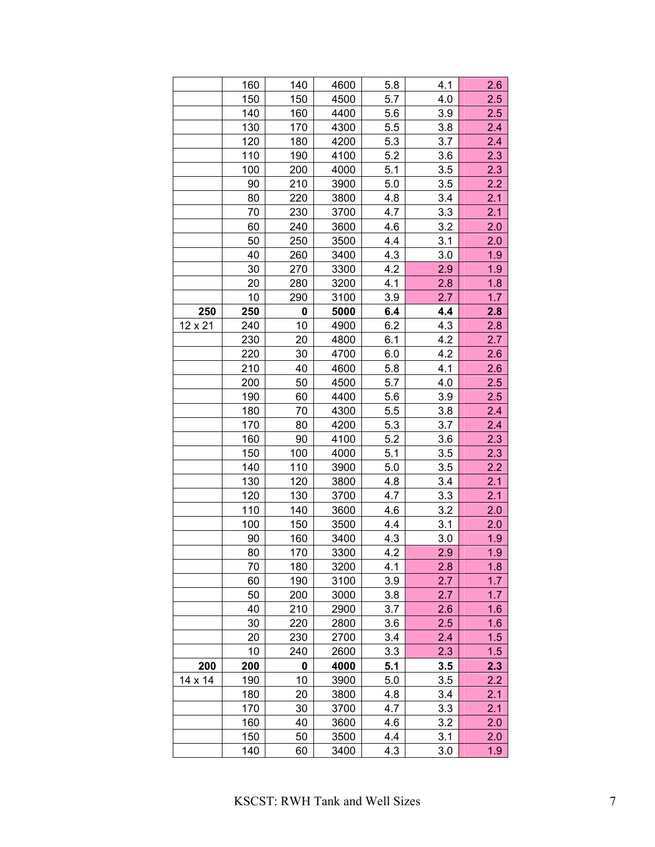|         | 160 | 140 | 4600 | 5.8 | 4.1 | 2.6 |
|---------|-----|-----|------|-----|-----|-----|
|         | 150 | 150 | 4500 | 5.7 | 4.0 | 2.5 |
|         | 140 | 160 | 4400 | 5.6 | 3.9 | 2.5 |
|         | 130 | 170 | 4300 | 5.5 | 3.8 | 2.4 |
|         | 120 | 180 | 4200 | 5.3 | 3.7 | 2.4 |
|         | 110 | 190 | 4100 | 5.2 | 3.6 | 2.3 |
|         | 100 | 200 | 4000 | 5.1 | 3.5 | 2.3 |
|         | 90  | 210 | 3900 | 5.0 | 3.5 | 2.2 |
|         | 80  | 220 | 3800 | 4.8 | 3.4 | 2.1 |
|         | 70  | 230 | 3700 | 4.7 | 3.3 | 2.1 |
|         | 60  | 240 | 3600 | 4.6 | 3.2 | 2.0 |
|         | 50  | 250 | 3500 | 4.4 | 3.1 | 2.0 |
|         | 40  | 260 | 3400 | 4.3 | 3.0 | 1.9 |
|         | 30  | 270 | 3300 | 4.2 | 2.9 | 1.9 |
|         | 20  | 280 | 3200 | 4.1 | 2.8 | 1.8 |
|         | 10  | 290 | 3100 | 3.9 | 2.7 | 1.7 |
| 250     | 250 | 0   | 5000 | 6.4 | 4.4 | 2.8 |
| 12 x 21 | 240 | 10  | 4900 | 6.2 | 4.3 | 2.8 |
|         | 230 | 20  | 4800 | 6.1 | 4.2 | 2.7 |
|         | 220 | 30  | 4700 | 6.0 | 4.2 | 2.6 |
|         | 210 | 40  | 4600 | 5.8 | 4.1 | 2.6 |
|         | 200 | 50  | 4500 | 5.7 | 4.0 | 2.5 |
|         | 190 | 60  | 4400 | 5.6 | 3.9 | 2.5 |
|         | 180 | 70  | 4300 | 5.5 | 3.8 | 2.4 |
|         | 170 | 80  | 4200 | 5.3 | 3.7 | 2.4 |
|         | 160 | 90  | 4100 | 5.2 | 3.6 | 2.3 |
|         | 150 | 100 | 4000 | 5.1 | 3.5 | 2.3 |
|         | 140 | 110 | 3900 | 5.0 | 3.5 | 2.2 |
|         | 130 | 120 | 3800 | 4.8 | 3.4 | 2.1 |
|         | 120 | 130 | 3700 | 4.7 | 3.3 | 2.1 |
|         | 110 | 140 | 3600 | 4.6 | 3.2 | 2.0 |
|         | 100 | 150 | 3500 | 4.4 | 3.1 | 2.0 |
|         | 90  | 160 | 3400 | 4.3 | 3.0 | 1.9 |
|         | 80  | 170 | 3300 | 4.2 | 2.9 | 1.9 |
|         | 70  | 180 | 3200 | 4.1 | 2.8 | 1.8 |
|         | 60  | 190 | 3100 | 3.9 | 2.7 | 1.7 |
|         | 50  | 200 | 3000 | 3.8 | 2.7 | 1.7 |
|         | 40  | 210 | 2900 | 3.7 | 2.6 | 1.6 |
|         | 30  | 220 | 2800 | 3.6 | 2.5 | 1.6 |
|         | 20  | 230 | 2700 | 3.4 | 2.4 | 1.5 |
|         | 10  | 240 | 2600 | 3.3 | 2.3 | 1.5 |
| 200     | 200 | 0   | 4000 | 5.1 | 3.5 | 2.3 |
| 14 x 14 | 190 | 10  | 3900 | 5.0 | 3.5 | 2.2 |
|         | 180 | 20  | 3800 | 4.8 | 3.4 | 2.1 |
|         | 170 | 30  | 3700 | 4.7 | 3.3 | 2.1 |
|         | 160 | 40  | 3600 | 4.6 | 3.2 | 2.0 |
|         | 150 | 50  | 3500 | 4.4 | 3.1 | 2.0 |
|         | 140 | 60  | 3400 | 4.3 | 3.0 | 1.9 |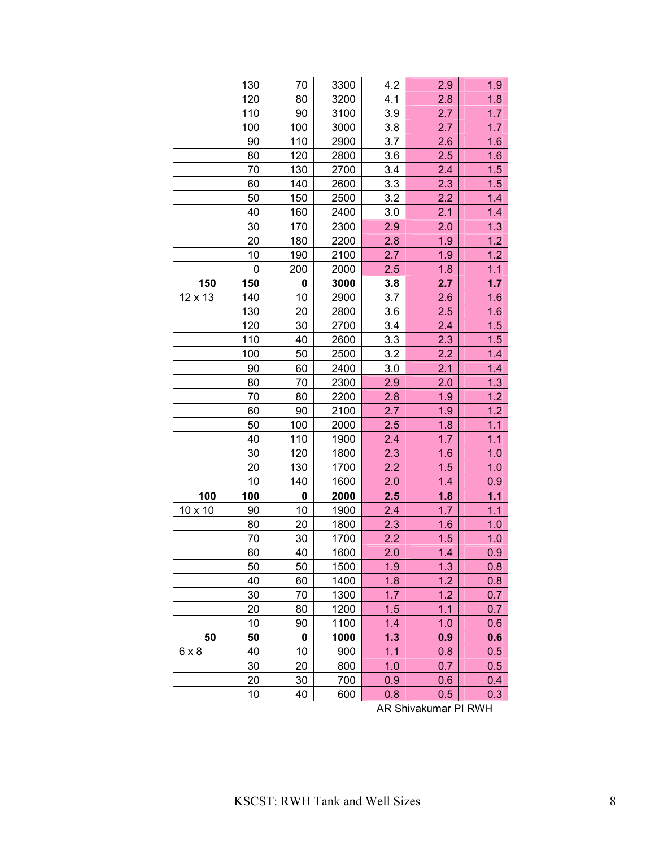|              | 130 | 70        | 3300 | 4.2 | 2.9 | 1.9   |
|--------------|-----|-----------|------|-----|-----|-------|
|              | 120 | 80        | 3200 | 4.1 | 2.8 | 1.8   |
|              | 110 | 90        | 3100 | 3.9 | 2.7 | 1.7   |
|              | 100 | 100       | 3000 | 3.8 | 2.7 | 1.7   |
|              | 90  | 110       | 2900 | 3.7 | 2.6 | 1.6   |
|              | 80  | 120       | 2800 | 3.6 | 2.5 | 1.6   |
|              | 70  | 130       | 2700 | 3.4 | 2.4 | 1.5   |
|              | 60  | 140       | 2600 | 3.3 | 2.3 | 1.5   |
|              | 50  | 150       | 2500 | 3.2 | 2.2 | 1.4   |
|              | 40  | 160       | 2400 | 3.0 | 2.1 | 1.4   |
|              | 30  | 170       | 2300 | 2.9 | 2.0 | 1.3   |
|              | 20  | 180       | 2200 | 2.8 | 1.9 | 1.2   |
|              | 10  | 190       | 2100 | 2.7 | 1.9 | 1.2   |
|              | 0   | 200       | 2000 | 2.5 | 1.8 | 1.1   |
| 150          | 150 | 0         | 3000 | 3.8 | 2.7 | 1.7   |
| 12 x 13      | 140 | 10        | 2900 | 3.7 | 2.6 | 1.6   |
|              | 130 | 20        | 2800 | 3.6 | 2.5 | 1.6   |
|              | 120 | 30        | 2700 | 3.4 | 2.4 | 1.5   |
|              | 110 | 40        | 2600 | 3.3 | 2.3 | 1.5   |
|              | 100 | 50        | 2500 | 3.2 | 2.2 | 1.4   |
|              | 90  | 60        | 2400 | 3.0 | 2.1 | 1.4   |
|              | 80  | 70        | 2300 | 2.9 | 2.0 | 1.3   |
|              | 70  | 80        | 2200 | 2.8 | 1.9 | 1.2   |
|              | 60  | 90        | 2100 | 2.7 | 1.9 | 1.2   |
|              | 50  | 100       | 2000 | 2.5 | 1.8 | $1.1$ |
|              | 40  | 110       | 1900 | 2.4 | 1.7 | 1.1   |
|              | 30  | 120       | 1800 | 2.3 | 1.6 | 1.0   |
|              | 20  | 130       | 1700 | 2.2 | 1.5 | 1.0   |
|              | 10  | 140       | 1600 | 2.0 | 1.4 | 0.9   |
| 100          | 100 | $\pmb{0}$ | 2000 | 2.5 | 1.8 | 1.1   |
| 10 x 10      | 90  | 10        | 1900 | 2.4 | 1.7 | 1.1   |
|              | 80  | 20        | 1800 | 2.3 | 1.6 | 1.0   |
|              | 70  | 30        | 1700 | 2.2 | 1.5 | 1.0   |
|              | 60  | 40        | 1600 | 2.0 | 1.4 | 0.9   |
|              | 50  | 50        | 1500 | 1.9 | 1.3 | 0.8   |
|              | 40  | 60        | 1400 | 1.8 | 1.2 | 0.8   |
|              | 30  | 70        | 1300 | 1.7 | 1.2 | 0.7   |
|              | 20  | 80        | 1200 | 1.5 | 1.1 | 0.7   |
|              | 10  | 90        | 1100 | 1.4 | 1.0 | 0.6   |
| 50           | 50  | 0         | 1000 | 1.3 | 0.9 | 0.6   |
| $6 \times 8$ | 40  | 10        | 900  | 1.1 | 0.8 | 0.5   |
|              | 30  | 20        | 800  | 1.0 | 0.7 | 0.5   |
|              | 20  | 30        | 700  | 0.9 | 0.6 | 0.4   |
|              | 10  | 40        | 600  | 0.8 | 0.5 | 0.3   |

AR Shivakumar PI RWH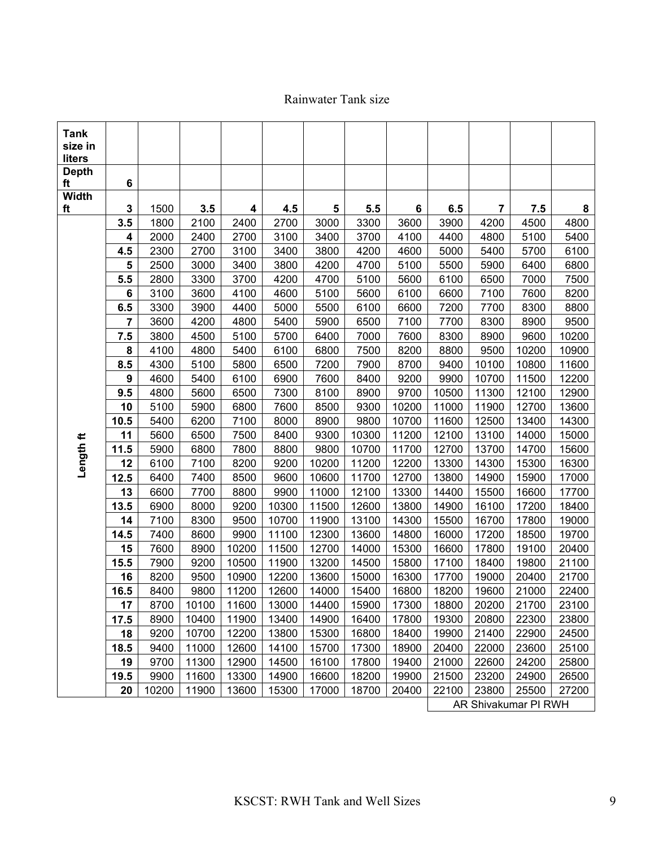## Rainwater Tank size

| 6<br>ft<br><b>Width</b><br>3<br>3.5<br>1500<br>4<br>4.5<br>5<br>5.5<br>6<br>6.5<br>$\overline{7}$<br>7.5<br>8<br>ft<br>3.5<br>2100<br>2400<br>2700<br>3000<br>3300<br>3600<br>4200<br>4800<br>1800<br>3900<br>4500<br>4<br>2000<br>2400<br>2700<br>3100<br>3400<br>3700<br>4100<br>4400<br>4800<br>5100<br>5400<br>4.5<br>2300<br>2700<br>3100<br>3400<br>3800<br>4200<br>4600<br>5000<br>5400<br>5700<br>6100<br>5<br>2500<br>3000<br>3400<br>3800<br>4200<br>4700<br>5100<br>5500<br>5900<br>6400<br>6800<br>5.5<br>4200<br>7500<br>2800<br>3300<br>3700<br>4700<br>5100<br>5600<br>6100<br>6500<br>7000<br>5100<br>6100<br>7100<br>6<br>3100<br>3600<br>4100<br>4600<br>5600<br>6600<br>7600<br>8200<br>6.5<br>6600<br>7200<br>3300<br>3900<br>4400<br>5000<br>5500<br>6100<br>7700<br>8300<br>8800<br>$\overline{7}$<br>3600<br>4200<br>7100<br>7700<br>8300<br>9500<br>4800<br>5400<br>5900<br>6500<br>8900<br>7.5<br>3800<br>4500<br>5100<br>5700<br>6400<br>7000<br>7600<br>8300<br>8900<br>9600<br>10200<br>8<br>4800<br>6800<br>8200<br>10200<br>10900<br>4100<br>5400<br>6100<br>7500<br>8800<br>9500<br>8.5<br>7200<br>7900<br>8700<br>11600<br>4300<br>5100<br>5800<br>6500<br>9400<br>10100<br>10800<br>9<br>9200<br>5400<br>6100<br>6900<br>7600<br>8400<br>9900<br>10700<br>11500<br>12200<br>4600<br>9.5<br>9700<br>7300<br>8100<br>8900<br>10500<br>11300<br>12100<br>12900<br>4800<br>5600<br>6500<br>10<br>10200<br>13600<br>5100<br>5900<br>6800<br>7600<br>8500<br>9300<br>11000<br>11900<br>12700<br>14300<br>10.5<br>5400<br>6200<br>7100<br>8000<br>8900<br>9800<br>10700<br>11600<br>12500<br>13400<br>11<br>10300<br>15000<br>5600<br>6500<br>7500<br>8400<br>9300<br>11200<br>12100<br>13100<br>14000<br>Length ft<br>5900<br>6800<br>7800<br>8800<br>9800<br>10700<br>11700<br>12700<br>13700<br>15600<br>11.5<br>14700<br>7100<br>8200<br>9200<br>10200<br>11200<br>12200<br>13300<br>15300<br>16300<br>12<br>6100<br>14300<br>12.5<br>7400<br>8500<br>9600<br>10600<br>11700<br>12700<br>13800<br>15900<br>17000<br>6400<br>14900<br>13<br>9900<br>12100<br>13300<br>6600<br>7700<br>8800<br>11000<br>14400<br>15500<br>16600<br>17700<br>13.5<br>18400<br>6900<br>8000<br>9200<br>10300<br>11500<br>12600<br>13800<br>14900<br>16100<br>17200<br>14<br>7100<br>8300<br>9500<br>10700<br>11900<br>13100<br>14300<br>15500<br>16700<br>17800<br>19000<br>19700<br>14.5<br>7400<br>8600<br>9900<br>11100<br>12300<br>13600<br>14800<br>16000<br>17200<br>18500<br>15<br>7600<br>10200<br>12700<br>15300<br>16600<br>20400<br>8900<br>11500<br>14000<br>17800<br>19100<br>15.5<br>10500<br>13200<br>14500<br>17100<br>21100<br>7900<br>9200<br>11900<br>15800<br>18400<br>19800<br>16<br>21700<br>8200<br>9500<br>10900<br>12200<br>13600<br>15000<br>16300<br>17700<br>19000<br>20400<br>16.5<br>11200<br>8400<br>9800<br>12600<br>14000<br>15400<br>16800<br>18200<br>19600<br>21000<br>22400<br>18800<br>20200<br>23100<br>17<br>8700<br>10100<br>11600<br>13000<br>14400<br>15900<br>17300<br>21700<br>8900<br>10400<br>11900<br>13400<br>14900<br>16400<br>17800<br>19300<br>20800<br>22300<br>23800<br>17.5<br>10700<br>21400<br>18<br>9200<br>12200<br>13800<br>15300<br>16800<br>18400<br>19900<br>22900<br>24500<br>11000<br>23600<br>25100<br>18.5<br>9400<br>12600<br>14100<br>15700<br>17300<br>18900<br>20400<br>22000<br>19<br>9700<br>11300<br>12900<br>14500<br>17800<br>19400<br>21000<br>22600<br>24200<br>25800<br>16100<br>19.5<br>11600<br>13300<br>18200<br>19900<br>23200<br>24900<br>9900<br>14900<br>16600<br>21500<br>26500<br>20<br>10200<br>11900<br>13600<br>15300<br>17000<br>18700<br>20400<br>22100<br>23800<br>25500<br>27200<br>AR Shivakumar PI RWH | <b>Tank</b><br>size in<br>liters |  |  |  |  |  |  |
|-------------------------------------------------------------------------------------------------------------------------------------------------------------------------------------------------------------------------------------------------------------------------------------------------------------------------------------------------------------------------------------------------------------------------------------------------------------------------------------------------------------------------------------------------------------------------------------------------------------------------------------------------------------------------------------------------------------------------------------------------------------------------------------------------------------------------------------------------------------------------------------------------------------------------------------------------------------------------------------------------------------------------------------------------------------------------------------------------------------------------------------------------------------------------------------------------------------------------------------------------------------------------------------------------------------------------------------------------------------------------------------------------------------------------------------------------------------------------------------------------------------------------------------------------------------------------------------------------------------------------------------------------------------------------------------------------------------------------------------------------------------------------------------------------------------------------------------------------------------------------------------------------------------------------------------------------------------------------------------------------------------------------------------------------------------------------------------------------------------------------------------------------------------------------------------------------------------------------------------------------------------------------------------------------------------------------------------------------------------------------------------------------------------------------------------------------------------------------------------------------------------------------------------------------------------------------------------------------------------------------------------------------------------------------------------------------------------------------------------------------------------------------------------------------------------------------------------------------------------------------------------------------------------------------------------------------------------------------------------------------------------------------------------------------------------------------------------------------------------------------------------------------------------------------------------------------------------------------------------------------------------------------------------------------------------------------------------------------------------------------------------------------------------------------------------------------------------------------------------------------------------------------------------------------------------------------------------------------------------------------------------------------------------------------------------------------------------------|----------------------------------|--|--|--|--|--|--|
|                                                                                                                                                                                                                                                                                                                                                                                                                                                                                                                                                                                                                                                                                                                                                                                                                                                                                                                                                                                                                                                                                                                                                                                                                                                                                                                                                                                                                                                                                                                                                                                                                                                                                                                                                                                                                                                                                                                                                                                                                                                                                                                                                                                                                                                                                                                                                                                                                                                                                                                                                                                                                                                                                                                                                                                                                                                                                                                                                                                                                                                                                                                                                                                                                                                                                                                                                                                                                                                                                                                                                                                                                                                                                                                   | <b>Depth</b>                     |  |  |  |  |  |  |
|                                                                                                                                                                                                                                                                                                                                                                                                                                                                                                                                                                                                                                                                                                                                                                                                                                                                                                                                                                                                                                                                                                                                                                                                                                                                                                                                                                                                                                                                                                                                                                                                                                                                                                                                                                                                                                                                                                                                                                                                                                                                                                                                                                                                                                                                                                                                                                                                                                                                                                                                                                                                                                                                                                                                                                                                                                                                                                                                                                                                                                                                                                                                                                                                                                                                                                                                                                                                                                                                                                                                                                                                                                                                                                                   |                                  |  |  |  |  |  |  |
|                                                                                                                                                                                                                                                                                                                                                                                                                                                                                                                                                                                                                                                                                                                                                                                                                                                                                                                                                                                                                                                                                                                                                                                                                                                                                                                                                                                                                                                                                                                                                                                                                                                                                                                                                                                                                                                                                                                                                                                                                                                                                                                                                                                                                                                                                                                                                                                                                                                                                                                                                                                                                                                                                                                                                                                                                                                                                                                                                                                                                                                                                                                                                                                                                                                                                                                                                                                                                                                                                                                                                                                                                                                                                                                   |                                  |  |  |  |  |  |  |
|                                                                                                                                                                                                                                                                                                                                                                                                                                                                                                                                                                                                                                                                                                                                                                                                                                                                                                                                                                                                                                                                                                                                                                                                                                                                                                                                                                                                                                                                                                                                                                                                                                                                                                                                                                                                                                                                                                                                                                                                                                                                                                                                                                                                                                                                                                                                                                                                                                                                                                                                                                                                                                                                                                                                                                                                                                                                                                                                                                                                                                                                                                                                                                                                                                                                                                                                                                                                                                                                                                                                                                                                                                                                                                                   |                                  |  |  |  |  |  |  |
|                                                                                                                                                                                                                                                                                                                                                                                                                                                                                                                                                                                                                                                                                                                                                                                                                                                                                                                                                                                                                                                                                                                                                                                                                                                                                                                                                                                                                                                                                                                                                                                                                                                                                                                                                                                                                                                                                                                                                                                                                                                                                                                                                                                                                                                                                                                                                                                                                                                                                                                                                                                                                                                                                                                                                                                                                                                                                                                                                                                                                                                                                                                                                                                                                                                                                                                                                                                                                                                                                                                                                                                                                                                                                                                   |                                  |  |  |  |  |  |  |
|                                                                                                                                                                                                                                                                                                                                                                                                                                                                                                                                                                                                                                                                                                                                                                                                                                                                                                                                                                                                                                                                                                                                                                                                                                                                                                                                                                                                                                                                                                                                                                                                                                                                                                                                                                                                                                                                                                                                                                                                                                                                                                                                                                                                                                                                                                                                                                                                                                                                                                                                                                                                                                                                                                                                                                                                                                                                                                                                                                                                                                                                                                                                                                                                                                                                                                                                                                                                                                                                                                                                                                                                                                                                                                                   |                                  |  |  |  |  |  |  |
|                                                                                                                                                                                                                                                                                                                                                                                                                                                                                                                                                                                                                                                                                                                                                                                                                                                                                                                                                                                                                                                                                                                                                                                                                                                                                                                                                                                                                                                                                                                                                                                                                                                                                                                                                                                                                                                                                                                                                                                                                                                                                                                                                                                                                                                                                                                                                                                                                                                                                                                                                                                                                                                                                                                                                                                                                                                                                                                                                                                                                                                                                                                                                                                                                                                                                                                                                                                                                                                                                                                                                                                                                                                                                                                   |                                  |  |  |  |  |  |  |
|                                                                                                                                                                                                                                                                                                                                                                                                                                                                                                                                                                                                                                                                                                                                                                                                                                                                                                                                                                                                                                                                                                                                                                                                                                                                                                                                                                                                                                                                                                                                                                                                                                                                                                                                                                                                                                                                                                                                                                                                                                                                                                                                                                                                                                                                                                                                                                                                                                                                                                                                                                                                                                                                                                                                                                                                                                                                                                                                                                                                                                                                                                                                                                                                                                                                                                                                                                                                                                                                                                                                                                                                                                                                                                                   |                                  |  |  |  |  |  |  |
|                                                                                                                                                                                                                                                                                                                                                                                                                                                                                                                                                                                                                                                                                                                                                                                                                                                                                                                                                                                                                                                                                                                                                                                                                                                                                                                                                                                                                                                                                                                                                                                                                                                                                                                                                                                                                                                                                                                                                                                                                                                                                                                                                                                                                                                                                                                                                                                                                                                                                                                                                                                                                                                                                                                                                                                                                                                                                                                                                                                                                                                                                                                                                                                                                                                                                                                                                                                                                                                                                                                                                                                                                                                                                                                   |                                  |  |  |  |  |  |  |
|                                                                                                                                                                                                                                                                                                                                                                                                                                                                                                                                                                                                                                                                                                                                                                                                                                                                                                                                                                                                                                                                                                                                                                                                                                                                                                                                                                                                                                                                                                                                                                                                                                                                                                                                                                                                                                                                                                                                                                                                                                                                                                                                                                                                                                                                                                                                                                                                                                                                                                                                                                                                                                                                                                                                                                                                                                                                                                                                                                                                                                                                                                                                                                                                                                                                                                                                                                                                                                                                                                                                                                                                                                                                                                                   |                                  |  |  |  |  |  |  |
|                                                                                                                                                                                                                                                                                                                                                                                                                                                                                                                                                                                                                                                                                                                                                                                                                                                                                                                                                                                                                                                                                                                                                                                                                                                                                                                                                                                                                                                                                                                                                                                                                                                                                                                                                                                                                                                                                                                                                                                                                                                                                                                                                                                                                                                                                                                                                                                                                                                                                                                                                                                                                                                                                                                                                                                                                                                                                                                                                                                                                                                                                                                                                                                                                                                                                                                                                                                                                                                                                                                                                                                                                                                                                                                   |                                  |  |  |  |  |  |  |
|                                                                                                                                                                                                                                                                                                                                                                                                                                                                                                                                                                                                                                                                                                                                                                                                                                                                                                                                                                                                                                                                                                                                                                                                                                                                                                                                                                                                                                                                                                                                                                                                                                                                                                                                                                                                                                                                                                                                                                                                                                                                                                                                                                                                                                                                                                                                                                                                                                                                                                                                                                                                                                                                                                                                                                                                                                                                                                                                                                                                                                                                                                                                                                                                                                                                                                                                                                                                                                                                                                                                                                                                                                                                                                                   |                                  |  |  |  |  |  |  |
|                                                                                                                                                                                                                                                                                                                                                                                                                                                                                                                                                                                                                                                                                                                                                                                                                                                                                                                                                                                                                                                                                                                                                                                                                                                                                                                                                                                                                                                                                                                                                                                                                                                                                                                                                                                                                                                                                                                                                                                                                                                                                                                                                                                                                                                                                                                                                                                                                                                                                                                                                                                                                                                                                                                                                                                                                                                                                                                                                                                                                                                                                                                                                                                                                                                                                                                                                                                                                                                                                                                                                                                                                                                                                                                   |                                  |  |  |  |  |  |  |
|                                                                                                                                                                                                                                                                                                                                                                                                                                                                                                                                                                                                                                                                                                                                                                                                                                                                                                                                                                                                                                                                                                                                                                                                                                                                                                                                                                                                                                                                                                                                                                                                                                                                                                                                                                                                                                                                                                                                                                                                                                                                                                                                                                                                                                                                                                                                                                                                                                                                                                                                                                                                                                                                                                                                                                                                                                                                                                                                                                                                                                                                                                                                                                                                                                                                                                                                                                                                                                                                                                                                                                                                                                                                                                                   |                                  |  |  |  |  |  |  |
|                                                                                                                                                                                                                                                                                                                                                                                                                                                                                                                                                                                                                                                                                                                                                                                                                                                                                                                                                                                                                                                                                                                                                                                                                                                                                                                                                                                                                                                                                                                                                                                                                                                                                                                                                                                                                                                                                                                                                                                                                                                                                                                                                                                                                                                                                                                                                                                                                                                                                                                                                                                                                                                                                                                                                                                                                                                                                                                                                                                                                                                                                                                                                                                                                                                                                                                                                                                                                                                                                                                                                                                                                                                                                                                   |                                  |  |  |  |  |  |  |
|                                                                                                                                                                                                                                                                                                                                                                                                                                                                                                                                                                                                                                                                                                                                                                                                                                                                                                                                                                                                                                                                                                                                                                                                                                                                                                                                                                                                                                                                                                                                                                                                                                                                                                                                                                                                                                                                                                                                                                                                                                                                                                                                                                                                                                                                                                                                                                                                                                                                                                                                                                                                                                                                                                                                                                                                                                                                                                                                                                                                                                                                                                                                                                                                                                                                                                                                                                                                                                                                                                                                                                                                                                                                                                                   |                                  |  |  |  |  |  |  |
|                                                                                                                                                                                                                                                                                                                                                                                                                                                                                                                                                                                                                                                                                                                                                                                                                                                                                                                                                                                                                                                                                                                                                                                                                                                                                                                                                                                                                                                                                                                                                                                                                                                                                                                                                                                                                                                                                                                                                                                                                                                                                                                                                                                                                                                                                                                                                                                                                                                                                                                                                                                                                                                                                                                                                                                                                                                                                                                                                                                                                                                                                                                                                                                                                                                                                                                                                                                                                                                                                                                                                                                                                                                                                                                   |                                  |  |  |  |  |  |  |
|                                                                                                                                                                                                                                                                                                                                                                                                                                                                                                                                                                                                                                                                                                                                                                                                                                                                                                                                                                                                                                                                                                                                                                                                                                                                                                                                                                                                                                                                                                                                                                                                                                                                                                                                                                                                                                                                                                                                                                                                                                                                                                                                                                                                                                                                                                                                                                                                                                                                                                                                                                                                                                                                                                                                                                                                                                                                                                                                                                                                                                                                                                                                                                                                                                                                                                                                                                                                                                                                                                                                                                                                                                                                                                                   |                                  |  |  |  |  |  |  |
|                                                                                                                                                                                                                                                                                                                                                                                                                                                                                                                                                                                                                                                                                                                                                                                                                                                                                                                                                                                                                                                                                                                                                                                                                                                                                                                                                                                                                                                                                                                                                                                                                                                                                                                                                                                                                                                                                                                                                                                                                                                                                                                                                                                                                                                                                                                                                                                                                                                                                                                                                                                                                                                                                                                                                                                                                                                                                                                                                                                                                                                                                                                                                                                                                                                                                                                                                                                                                                                                                                                                                                                                                                                                                                                   |                                  |  |  |  |  |  |  |
|                                                                                                                                                                                                                                                                                                                                                                                                                                                                                                                                                                                                                                                                                                                                                                                                                                                                                                                                                                                                                                                                                                                                                                                                                                                                                                                                                                                                                                                                                                                                                                                                                                                                                                                                                                                                                                                                                                                                                                                                                                                                                                                                                                                                                                                                                                                                                                                                                                                                                                                                                                                                                                                                                                                                                                                                                                                                                                                                                                                                                                                                                                                                                                                                                                                                                                                                                                                                                                                                                                                                                                                                                                                                                                                   |                                  |  |  |  |  |  |  |
|                                                                                                                                                                                                                                                                                                                                                                                                                                                                                                                                                                                                                                                                                                                                                                                                                                                                                                                                                                                                                                                                                                                                                                                                                                                                                                                                                                                                                                                                                                                                                                                                                                                                                                                                                                                                                                                                                                                                                                                                                                                                                                                                                                                                                                                                                                                                                                                                                                                                                                                                                                                                                                                                                                                                                                                                                                                                                                                                                                                                                                                                                                                                                                                                                                                                                                                                                                                                                                                                                                                                                                                                                                                                                                                   |                                  |  |  |  |  |  |  |
|                                                                                                                                                                                                                                                                                                                                                                                                                                                                                                                                                                                                                                                                                                                                                                                                                                                                                                                                                                                                                                                                                                                                                                                                                                                                                                                                                                                                                                                                                                                                                                                                                                                                                                                                                                                                                                                                                                                                                                                                                                                                                                                                                                                                                                                                                                                                                                                                                                                                                                                                                                                                                                                                                                                                                                                                                                                                                                                                                                                                                                                                                                                                                                                                                                                                                                                                                                                                                                                                                                                                                                                                                                                                                                                   |                                  |  |  |  |  |  |  |
|                                                                                                                                                                                                                                                                                                                                                                                                                                                                                                                                                                                                                                                                                                                                                                                                                                                                                                                                                                                                                                                                                                                                                                                                                                                                                                                                                                                                                                                                                                                                                                                                                                                                                                                                                                                                                                                                                                                                                                                                                                                                                                                                                                                                                                                                                                                                                                                                                                                                                                                                                                                                                                                                                                                                                                                                                                                                                                                                                                                                                                                                                                                                                                                                                                                                                                                                                                                                                                                                                                                                                                                                                                                                                                                   |                                  |  |  |  |  |  |  |
|                                                                                                                                                                                                                                                                                                                                                                                                                                                                                                                                                                                                                                                                                                                                                                                                                                                                                                                                                                                                                                                                                                                                                                                                                                                                                                                                                                                                                                                                                                                                                                                                                                                                                                                                                                                                                                                                                                                                                                                                                                                                                                                                                                                                                                                                                                                                                                                                                                                                                                                                                                                                                                                                                                                                                                                                                                                                                                                                                                                                                                                                                                                                                                                                                                                                                                                                                                                                                                                                                                                                                                                                                                                                                                                   |                                  |  |  |  |  |  |  |
|                                                                                                                                                                                                                                                                                                                                                                                                                                                                                                                                                                                                                                                                                                                                                                                                                                                                                                                                                                                                                                                                                                                                                                                                                                                                                                                                                                                                                                                                                                                                                                                                                                                                                                                                                                                                                                                                                                                                                                                                                                                                                                                                                                                                                                                                                                                                                                                                                                                                                                                                                                                                                                                                                                                                                                                                                                                                                                                                                                                                                                                                                                                                                                                                                                                                                                                                                                                                                                                                                                                                                                                                                                                                                                                   |                                  |  |  |  |  |  |  |
|                                                                                                                                                                                                                                                                                                                                                                                                                                                                                                                                                                                                                                                                                                                                                                                                                                                                                                                                                                                                                                                                                                                                                                                                                                                                                                                                                                                                                                                                                                                                                                                                                                                                                                                                                                                                                                                                                                                                                                                                                                                                                                                                                                                                                                                                                                                                                                                                                                                                                                                                                                                                                                                                                                                                                                                                                                                                                                                                                                                                                                                                                                                                                                                                                                                                                                                                                                                                                                                                                                                                                                                                                                                                                                                   |                                  |  |  |  |  |  |  |
|                                                                                                                                                                                                                                                                                                                                                                                                                                                                                                                                                                                                                                                                                                                                                                                                                                                                                                                                                                                                                                                                                                                                                                                                                                                                                                                                                                                                                                                                                                                                                                                                                                                                                                                                                                                                                                                                                                                                                                                                                                                                                                                                                                                                                                                                                                                                                                                                                                                                                                                                                                                                                                                                                                                                                                                                                                                                                                                                                                                                                                                                                                                                                                                                                                                                                                                                                                                                                                                                                                                                                                                                                                                                                                                   |                                  |  |  |  |  |  |  |
|                                                                                                                                                                                                                                                                                                                                                                                                                                                                                                                                                                                                                                                                                                                                                                                                                                                                                                                                                                                                                                                                                                                                                                                                                                                                                                                                                                                                                                                                                                                                                                                                                                                                                                                                                                                                                                                                                                                                                                                                                                                                                                                                                                                                                                                                                                                                                                                                                                                                                                                                                                                                                                                                                                                                                                                                                                                                                                                                                                                                                                                                                                                                                                                                                                                                                                                                                                                                                                                                                                                                                                                                                                                                                                                   |                                  |  |  |  |  |  |  |
|                                                                                                                                                                                                                                                                                                                                                                                                                                                                                                                                                                                                                                                                                                                                                                                                                                                                                                                                                                                                                                                                                                                                                                                                                                                                                                                                                                                                                                                                                                                                                                                                                                                                                                                                                                                                                                                                                                                                                                                                                                                                                                                                                                                                                                                                                                                                                                                                                                                                                                                                                                                                                                                                                                                                                                                                                                                                                                                                                                                                                                                                                                                                                                                                                                                                                                                                                                                                                                                                                                                                                                                                                                                                                                                   |                                  |  |  |  |  |  |  |
|                                                                                                                                                                                                                                                                                                                                                                                                                                                                                                                                                                                                                                                                                                                                                                                                                                                                                                                                                                                                                                                                                                                                                                                                                                                                                                                                                                                                                                                                                                                                                                                                                                                                                                                                                                                                                                                                                                                                                                                                                                                                                                                                                                                                                                                                                                                                                                                                                                                                                                                                                                                                                                                                                                                                                                                                                                                                                                                                                                                                                                                                                                                                                                                                                                                                                                                                                                                                                                                                                                                                                                                                                                                                                                                   |                                  |  |  |  |  |  |  |
|                                                                                                                                                                                                                                                                                                                                                                                                                                                                                                                                                                                                                                                                                                                                                                                                                                                                                                                                                                                                                                                                                                                                                                                                                                                                                                                                                                                                                                                                                                                                                                                                                                                                                                                                                                                                                                                                                                                                                                                                                                                                                                                                                                                                                                                                                                                                                                                                                                                                                                                                                                                                                                                                                                                                                                                                                                                                                                                                                                                                                                                                                                                                                                                                                                                                                                                                                                                                                                                                                                                                                                                                                                                                                                                   |                                  |  |  |  |  |  |  |
|                                                                                                                                                                                                                                                                                                                                                                                                                                                                                                                                                                                                                                                                                                                                                                                                                                                                                                                                                                                                                                                                                                                                                                                                                                                                                                                                                                                                                                                                                                                                                                                                                                                                                                                                                                                                                                                                                                                                                                                                                                                                                                                                                                                                                                                                                                                                                                                                                                                                                                                                                                                                                                                                                                                                                                                                                                                                                                                                                                                                                                                                                                                                                                                                                                                                                                                                                                                                                                                                                                                                                                                                                                                                                                                   |                                  |  |  |  |  |  |  |
|                                                                                                                                                                                                                                                                                                                                                                                                                                                                                                                                                                                                                                                                                                                                                                                                                                                                                                                                                                                                                                                                                                                                                                                                                                                                                                                                                                                                                                                                                                                                                                                                                                                                                                                                                                                                                                                                                                                                                                                                                                                                                                                                                                                                                                                                                                                                                                                                                                                                                                                                                                                                                                                                                                                                                                                                                                                                                                                                                                                                                                                                                                                                                                                                                                                                                                                                                                                                                                                                                                                                                                                                                                                                                                                   |                                  |  |  |  |  |  |  |
|                                                                                                                                                                                                                                                                                                                                                                                                                                                                                                                                                                                                                                                                                                                                                                                                                                                                                                                                                                                                                                                                                                                                                                                                                                                                                                                                                                                                                                                                                                                                                                                                                                                                                                                                                                                                                                                                                                                                                                                                                                                                                                                                                                                                                                                                                                                                                                                                                                                                                                                                                                                                                                                                                                                                                                                                                                                                                                                                                                                                                                                                                                                                                                                                                                                                                                                                                                                                                                                                                                                                                                                                                                                                                                                   |                                  |  |  |  |  |  |  |
|                                                                                                                                                                                                                                                                                                                                                                                                                                                                                                                                                                                                                                                                                                                                                                                                                                                                                                                                                                                                                                                                                                                                                                                                                                                                                                                                                                                                                                                                                                                                                                                                                                                                                                                                                                                                                                                                                                                                                                                                                                                                                                                                                                                                                                                                                                                                                                                                                                                                                                                                                                                                                                                                                                                                                                                                                                                                                                                                                                                                                                                                                                                                                                                                                                                                                                                                                                                                                                                                                                                                                                                                                                                                                                                   |                                  |  |  |  |  |  |  |
|                                                                                                                                                                                                                                                                                                                                                                                                                                                                                                                                                                                                                                                                                                                                                                                                                                                                                                                                                                                                                                                                                                                                                                                                                                                                                                                                                                                                                                                                                                                                                                                                                                                                                                                                                                                                                                                                                                                                                                                                                                                                                                                                                                                                                                                                                                                                                                                                                                                                                                                                                                                                                                                                                                                                                                                                                                                                                                                                                                                                                                                                                                                                                                                                                                                                                                                                                                                                                                                                                                                                                                                                                                                                                                                   |                                  |  |  |  |  |  |  |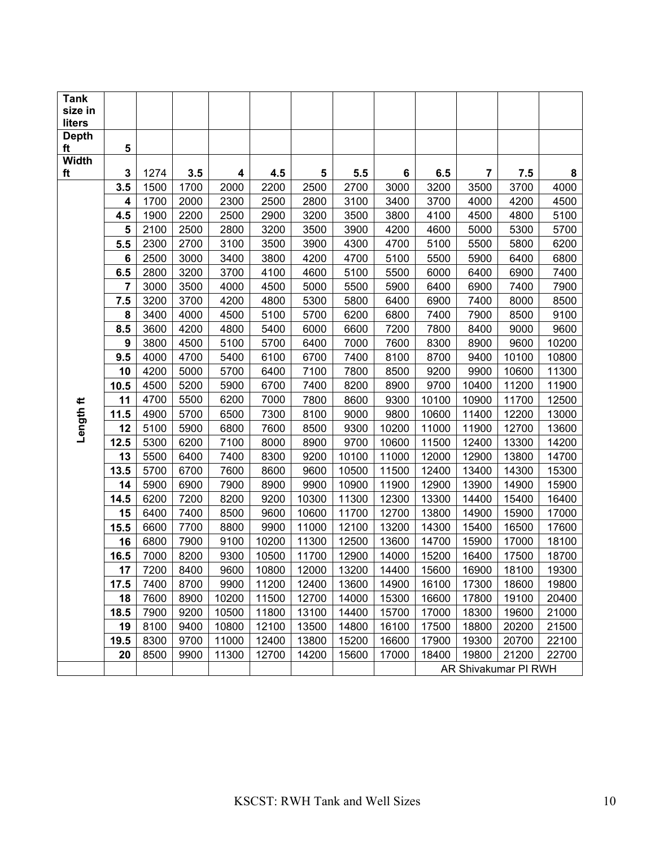| <b>Tank</b>            |                 |      |      |       |       |       |       |       |       |       |                      |       |
|------------------------|-----------------|------|------|-------|-------|-------|-------|-------|-------|-------|----------------------|-------|
| size in                |                 |      |      |       |       |       |       |       |       |       |                      |       |
| liters<br><b>Depth</b> |                 |      |      |       |       |       |       |       |       |       |                      |       |
| ft                     | 5               |      |      |       |       |       |       |       |       |       |                      |       |
| <b>Width</b>           |                 |      |      |       |       |       |       |       |       |       |                      |       |
| ft                     | 3               | 1274 | 3.5  | 4     | 4.5   | 5     | 5.5   | 6     | 6.5   | 7     | 7.5                  | 8     |
|                        | 3.5             | 1500 | 1700 | 2000  | 2200  | 2500  | 2700  | 3000  | 3200  | 3500  | 3700                 | 4000  |
|                        | 4               | 1700 | 2000 | 2300  | 2500  | 2800  | 3100  | 3400  | 3700  | 4000  | 4200                 | 4500  |
|                        | 4.5             | 1900 | 2200 | 2500  | 2900  | 3200  | 3500  | 3800  | 4100  | 4500  | 4800                 | 5100  |
|                        | 5               | 2100 | 2500 | 2800  | 3200  | 3500  | 3900  | 4200  | 4600  | 5000  | 5300                 | 5700  |
|                        | 5.5             | 2300 | 2700 | 3100  | 3500  | 3900  | 4300  | 4700  | 5100  | 5500  | 5800                 | 6200  |
|                        | $6\phantom{1}6$ | 2500 | 3000 | 3400  | 3800  | 4200  | 4700  | 5100  | 5500  | 5900  | 6400                 | 6800  |
|                        | 6.5             | 2800 | 3200 | 3700  | 4100  | 4600  | 5100  | 5500  | 6000  | 6400  | 6900                 | 7400  |
|                        | $\overline{7}$  | 3000 | 3500 | 4000  | 4500  | 5000  | 5500  | 5900  | 6400  | 6900  | 7400                 | 7900  |
|                        | 7.5             | 3200 | 3700 | 4200  | 4800  | 5300  | 5800  | 6400  | 6900  | 7400  | 8000                 | 8500  |
|                        | 8               | 3400 | 4000 | 4500  | 5100  | 5700  | 6200  | 6800  | 7400  | 7900  | 8500                 | 9100  |
|                        | 8.5             | 3600 | 4200 | 4800  | 5400  | 6000  | 6600  | 7200  | 7800  | 8400  | 9000                 | 9600  |
|                        | 9               | 3800 | 4500 | 5100  | 5700  | 6400  | 7000  | 7600  | 8300  | 8900  | 9600                 | 10200 |
|                        | 9.5             | 4000 | 4700 | 5400  | 6100  | 6700  | 7400  | 8100  | 8700  | 9400  | 10100                | 10800 |
|                        | 10              | 4200 | 5000 | 5700  | 6400  | 7100  | 7800  | 8500  | 9200  | 9900  | 10600                | 11300 |
|                        | 10.5            | 4500 | 5200 | 5900  | 6700  | 7400  | 8200  | 8900  | 9700  | 10400 | 11200                | 11900 |
|                        | 11              | 4700 | 5500 | 6200  | 7000  | 7800  | 8600  | 9300  | 10100 | 10900 | 11700                | 12500 |
| Length ft              | 11.5            | 4900 | 5700 | 6500  | 7300  | 8100  | 9000  | 9800  | 10600 | 11400 | 12200                | 13000 |
|                        | 12              | 5100 | 5900 | 6800  | 7600  | 8500  | 9300  | 10200 | 11000 | 11900 | 12700                | 13600 |
|                        | 12.5            | 5300 | 6200 | 7100  | 8000  | 8900  | 9700  | 10600 | 11500 | 12400 | 13300                | 14200 |
|                        | 13              | 5500 | 6400 | 7400  | 8300  | 9200  | 10100 | 11000 | 12000 | 12900 | 13800                | 14700 |
|                        | 13.5            | 5700 | 6700 | 7600  | 8600  | 9600  | 10500 | 11500 | 12400 | 13400 | 14300                | 15300 |
|                        | 14              | 5900 | 6900 | 7900  | 8900  | 9900  | 10900 | 11900 | 12900 | 13900 | 14900                | 15900 |
|                        | 14.5            | 6200 | 7200 | 8200  | 9200  | 10300 | 11300 | 12300 | 13300 | 14400 | 15400                | 16400 |
|                        | 15              | 6400 | 7400 | 8500  | 9600  | 10600 | 11700 | 12700 | 13800 | 14900 | 15900                | 17000 |
|                        | 15.5            | 6600 | 7700 | 8800  | 9900  | 11000 | 12100 | 13200 | 14300 | 15400 | 16500                | 17600 |
|                        | 16              | 6800 | 7900 | 9100  | 10200 | 11300 | 12500 | 13600 | 14700 | 15900 | 17000                | 18100 |
|                        | 16.5            | 7000 | 8200 | 9300  | 10500 | 11700 | 12900 | 14000 | 15200 | 16400 | 17500                | 18700 |
|                        | 17              | 7200 | 8400 | 9600  | 10800 | 12000 | 13200 | 14400 | 15600 | 16900 | 18100                | 19300 |
|                        | 17.5            | 7400 | 8700 | 9900  | 11200 | 12400 | 13600 | 14900 | 16100 | 17300 | 18600                | 19800 |
|                        | 18              | 7600 | 8900 | 10200 | 11500 | 12700 | 14000 | 15300 | 16600 | 17800 | 19100                | 20400 |
|                        | 18.5            | 7900 | 9200 | 10500 | 11800 | 13100 | 14400 | 15700 | 17000 | 18300 | 19600                | 21000 |
|                        | 19              | 8100 | 9400 | 10800 | 12100 | 13500 | 14800 | 16100 | 17500 | 18800 | 20200                | 21500 |
|                        | 19.5            | 8300 | 9700 | 11000 | 12400 | 13800 | 15200 | 16600 | 17900 | 19300 | 20700                | 22100 |
|                        | 20              | 8500 | 9900 | 11300 | 12700 | 14200 | 15600 | 17000 | 18400 | 19800 | 21200                | 22700 |
|                        |                 |      |      |       |       |       |       |       |       |       | AR Shivakumar PI RWH |       |